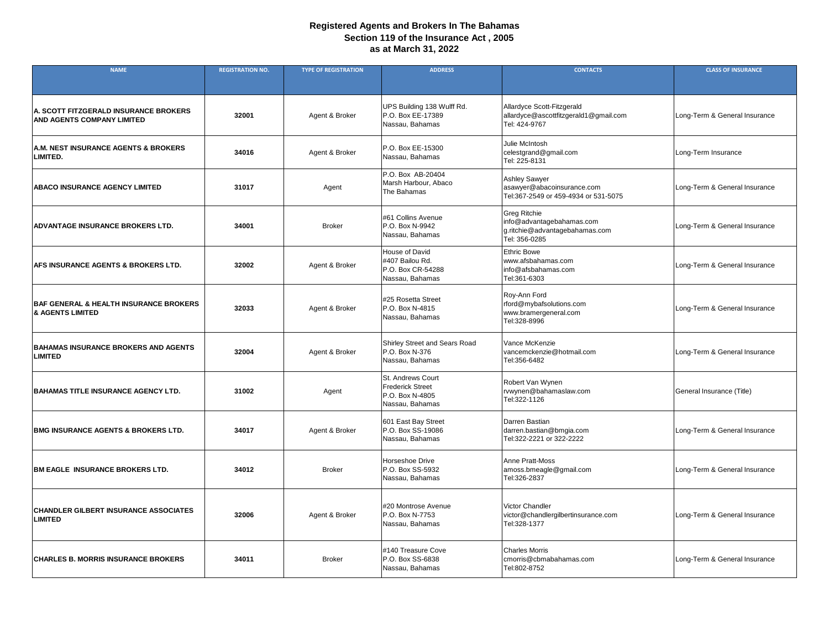| <b>NAME</b>                                                                      | <b>REGISTRATION NO.</b> | <b>TYPE OF REGISTRATION</b> | <b>ADDRESS</b>                                                                     | <b>CONTACTS</b>                                                                                     | <b>CLASS OF INSURANCE</b>     |
|----------------------------------------------------------------------------------|-------------------------|-----------------------------|------------------------------------------------------------------------------------|-----------------------------------------------------------------------------------------------------|-------------------------------|
|                                                                                  |                         |                             |                                                                                    |                                                                                                     |                               |
| A. SCOTT FITZGERALD INSURANCE BROKERS<br><b>AND AGENTS COMPANY LIMITED</b>       | 32001                   | Agent & Broker              | UPS Building 138 Wulff Rd.<br>P.O. Box EE-17389<br>Nassau, Bahamas                 | Allardyce Scott-Fitzgerald<br>allardyce@ascottfitzgerald1@gmail.com<br>Tel: 424-9767                | Long-Term & General Insurance |
| A.M. NEST INSURANCE AGENTS & BROKERS<br><b>LIMITED.</b>                          | 34016                   | Agent & Broker              | P.O. Box EE-15300<br>Nassau, Bahamas                                               | Julie McIntosh<br>celestgrand@gmail.com<br>Tel: 225-8131                                            | Long-Term Insurance           |
| <b>ABACO INSURANCE AGENCY LIMITED</b>                                            | 31017                   | Agent                       | P.O. Box AB-20404<br>Marsh Harbour, Abaco<br>The Bahamas                           | <b>Ashley Sawyer</b><br>asawyer@abacoinsurance.com<br>Tel:367-2549 or 459-4934 or 531-5075          | Long-Term & General Insurance |
| <b>ADVANTAGE INSURANCE BROKERS LTD.</b>                                          | 34001                   | <b>Broker</b>               | #61 Collins Avenue<br>P.O. Box N-9942<br>Nassau, Bahamas                           | <b>Greg Ritchie</b><br>info@advantagebahamas.com<br>g.ritchie@advantagebahamas.com<br>Tel: 356-0285 | Long-Term & General Insurance |
| <b>AFS INSURANCE AGENTS &amp; BROKERS LTD.</b>                                   | 32002                   | Agent & Broker              | <b>House of David</b><br>#407 Bailou Rd.<br>P.O. Box CR-54288<br>Nassau, Bahamas   | <b>Ethric Bowe</b><br>www.afsbahamas.com<br>info@afsbahamas.com<br>Tel:361-6303                     | Long-Term & General Insurance |
| <b>BAF GENERAL &amp; HEALTH INSURANCE BROKERS</b><br><b>&amp; AGENTS LIMITED</b> | 32033                   | Agent & Broker              | #25 Rosetta Street<br>P.O. Box N-4815<br>Nassau, Bahamas                           | Roy-Ann Ford<br>rford@mybafsolutions.com<br>www.bramergeneral.com<br>Tel:328-8996                   | Long-Term & General Insurance |
| <b>BAHAMAS INSURANCE BROKERS AND AGENTS</b><br><b>LIMITED</b>                    | 32004                   | Agent & Broker              | <b>Shirley Street and Sears Road</b><br>P.O. Box N-376<br>Nassau, Bahamas          | Vance McKenzie<br>vancemckenzie@hotmail.com<br>Tel:356-6482                                         | Long-Term & General Insurance |
| <b>BAHAMAS TITLE INSURANCE AGENCY LTD.</b>                                       | 31002                   | Agent                       | St. Andrews Court<br><b>Frederick Street</b><br>P.O. Box N-4805<br>Nassau, Bahamas | Robert Van Wynen<br>rvwynen@bahamaslaw.com<br>Tel:322-1126                                          | General Insurance (Title)     |
| <b>BMG INSURANCE AGENTS &amp; BROKERS LTD.</b>                                   | 34017                   | Agent & Broker              | 601 East Bay Street<br>P.O. Box SS-19086<br>Nassau, Bahamas                        | Darren Bastian<br>darren.bastian@bmgia.com<br>Tel:322-2221 or 322-2222                              | Long-Term & General Insurance |
| <b>BM EAGLE INSURANCE BROKERS LTD.</b>                                           | 34012                   | <b>Broker</b>               | Horseshoe Drive<br>P.O. Box SS-5932<br>Nassau, Bahamas                             | <b>Anne Pratt-Moss</b><br>amoss.bmeagle@gmail.com<br>Tel:326-2837                                   | Long-Term & General Insurance |
| <b>CHANDLER GILBERT INSURANCE ASSOCIATES</b><br><b>LIMITED</b>                   | 32006                   | Agent & Broker              | #20 Montrose Avenue<br>P.O. Box N-7753<br>Nassau, Bahamas                          | <b>Victor Chandler</b><br>victor@chandlergilbertinsurance.com<br>Tel:328-1377                       | Long-Term & General Insurance |
| <b>CHARLES B. MORRIS INSURANCE BROKERS</b>                                       | 34011                   | <b>Broker</b>               | #140 Treasure Cove<br>P.O. Box SS-6838<br>Nassau, Bahamas                          | <b>Charles Morris</b><br>cmorris@cbmabahamas.com<br>Tel:802-8752                                    | Long-Term & General Insurance |

## **Registered Agents and Brokers In The Bahamas as at March 31, 2022 Section 119 of the Insurance Act , 2005**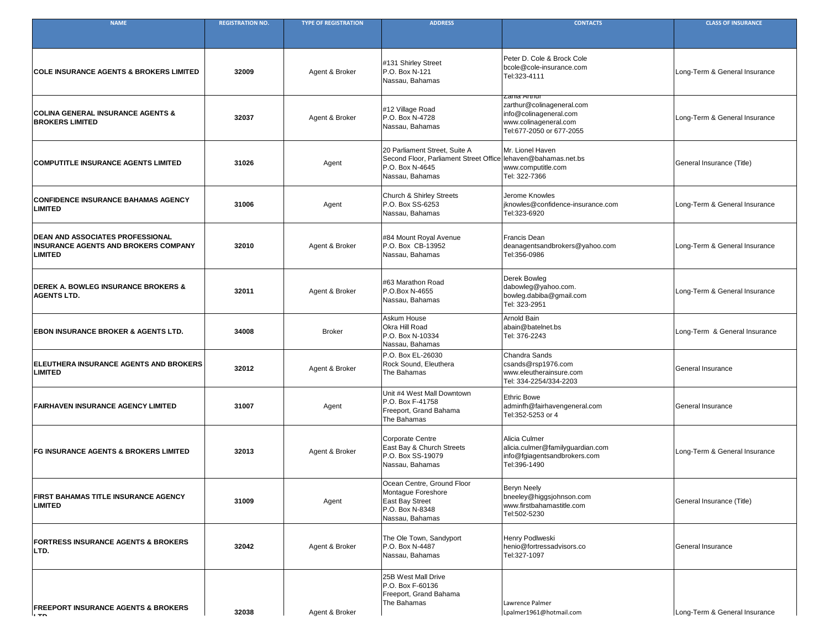| <b>NAME</b>                                                                                              | <b>REGISTRATION NO.</b> | <b>TYPE OF REGISTRATION</b> | <b>ADDRESS</b>                                                                                                                       | <b>CONTACTS</b>                                                                                                          | <b>CLASS OF INSURANCE</b>     |
|----------------------------------------------------------------------------------------------------------|-------------------------|-----------------------------|--------------------------------------------------------------------------------------------------------------------------------------|--------------------------------------------------------------------------------------------------------------------------|-------------------------------|
|                                                                                                          |                         |                             |                                                                                                                                      |                                                                                                                          |                               |
| <b>COLE INSURANCE AGENTS &amp; BROKERS LIMITED</b>                                                       | 32009                   | Agent & Broker              | #131 Shirley Street<br>P.O. Box N-121<br>Nassau, Bahamas                                                                             | Peter D. Cole & Brock Cole<br>bcole@cole-insurance.com<br>Tel:323-4111                                                   | Long-Term & General Insurance |
| <b>COLINA GENERAL INSURANCE AGENTS &amp;</b><br><b>BROKERS LIMITED</b>                                   | 32037                   | Agent & Broker              | #12 Village Road<br>P.O. Box N-4728<br>Nassau, Bahamas                                                                               | zania Arthur<br>zarthur@colinageneral.com<br>info@colinageneral.com<br>www.colinageneral.com<br>Tel:677-2050 or 677-2055 | Long-Term & General Insurance |
| <b>COMPUTITLE INSURANCE AGENTS LIMITED</b>                                                               | 31026                   | Agent                       | 20 Parliament Street, Suite A<br>Second Floor, Parliament Street Office lehaven@bahamas.net.bs<br>P.O. Box N-4645<br>Nassau, Bahamas | Mr. Lionel Haven<br>www.computitle.com<br>Tel: 322-7366                                                                  | General Insurance (Title)     |
| <b>CONFIDENCE INSURANCE BAHAMAS AGENCY</b><br><b>LIMITED</b>                                             | 31006                   | Agent                       | <b>Church &amp; Shirley Streets</b><br>P.O. Box SS-6253<br>Nassau, Bahamas                                                           | Jerome Knowles<br>jknowles@confidence-insurance.com<br>Tel:323-6920                                                      | Long-Term & General Insurance |
| <b>DEAN AND ASSOCIATES PROFESSIONAL</b><br><b>INSURANCE AGENTS AND BROKERS COMPANY</b><br><b>LIMITED</b> | 32010                   | Agent & Broker              | #84 Mount Royal Avenue<br>P.O. Box CB-13952<br>Nassau, Bahamas                                                                       | <b>Francis Dean</b><br>deanagentsandbrokers@yahoo.com<br>Tel:356-0986                                                    | Long-Term & General Insurance |
| <b>DEREK A. BOWLEG INSURANCE BROKERS &amp;</b><br><b>AGENTS LTD.</b>                                     | 32011                   | Agent & Broker              | #63 Marathon Road<br>P.O.Box N-4655<br>Nassau, Bahamas                                                                               | Derek Bowleg<br>dabowleg@yahoo.com.<br>bowleg.dabiba@gmail.com<br>Tel: 323-2951                                          | Long-Term & General Insurance |
| <b>EBON INSURANCE BROKER &amp; AGENTS LTD.</b>                                                           | 34008                   | <b>Broker</b>               | Askum House<br><b>Okra Hill Road</b><br>P.O. Box N-10334<br>Nassau, Bahamas                                                          | <b>Arnold Bain</b><br>abain@batelnet.bs<br>Tel: 376-2243                                                                 | Long-Term & General Insurance |
| ELEUTHERA INSURANCE AGENTS AND BROKERS<br><b>LIMITED</b>                                                 | 32012                   | Agent & Broker              | P.O. Box EL-26030<br>Rock Sound, Eleuthera<br>The Bahamas                                                                            | <b>Chandra Sands</b><br>csands@rsp1976.com<br>www.eleutherainsure.com<br>Tel: 334-2254/334-2203                          | <b>General Insurance</b>      |
| <b>FAIRHAVEN INSURANCE AGENCY LIMITED</b>                                                                | 31007                   | Agent                       | Unit #4 West Mall Downtown<br>P.O. Box F-41758<br>Freeport, Grand Bahama<br>The Bahamas                                              | <b>Ethric Bowe</b><br>adminfh@fairhavengeneral.com<br>Tel:352-5253 or 4                                                  | <b>General Insurance</b>      |
| <b>FG INSURANCE AGENTS &amp; BROKERS LIMITED</b>                                                         | 32013                   | Agent & Broker              | Corporate Centre<br>East Bay & Church Streets<br>P.O. Box SS-19079<br>Nassau, Bahamas                                                | Alicia Culmer<br>alicia.culmer@familyguardian.com<br>info@fgiagentsandbrokers.com<br>Tel:396-1490                        | Long-Term & General Insurance |
| <b>FIRST BAHAMAS TITLE INSURANCE AGENCY</b><br><b>LIMITED</b>                                            | 31009                   | Agent                       | Ocean Centre, Ground Floor<br>Montague Foreshore<br><b>East Bay Street</b><br><b>P.O. Box N-8348</b><br>Nassau, Bahamas              | <b>Beryn Neely</b><br>bneeley@higgsjohnson.com<br>www.firstbahamastitle.com<br>Tel:502-5230                              | General Insurance (Title)     |
| <b>FORTRESS INSURANCE AGENTS &amp; BROKERS</b><br>LTD.                                                   | 32042                   | Agent & Broker              | The Ole Town, Sandyport<br><b>P.O. Box N-4487</b><br>Nassau, Bahamas                                                                 | Henry Podlweski<br>henio@fortressadvisors.co<br>Tel:327-1097                                                             | <b>General Insurance</b>      |
| <b>FREEPORT INSURANCE AGENTS &amp; BROKERS</b><br>הדו                                                    | 32038                   | Agent & Broker              | 25B West Mall Drive<br>P.O. Box F-60136<br><b>Freeport, Grand Bahama</b><br>The Bahamas                                              | Lawrence Palmer<br>Lpalmer1961@hotmail.com                                                                               | Long-Term & General Insurance |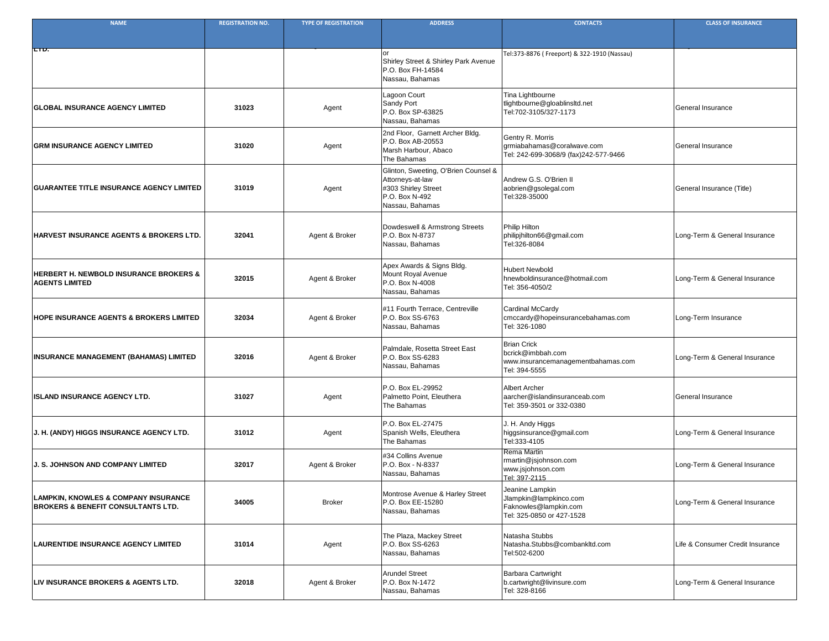| <b>NAME</b>                                                                           | <b>REGISTRATION NO.</b> | <b>TYPE OF REGISTRATION</b> | <b>ADDRESS</b>                                                                                                       | <b>CONTACTS</b>                                                                                 | <b>CLASS OF INSURANCE</b>        |
|---------------------------------------------------------------------------------------|-------------------------|-----------------------------|----------------------------------------------------------------------------------------------------------------------|-------------------------------------------------------------------------------------------------|----------------------------------|
|                                                                                       |                         |                             |                                                                                                                      |                                                                                                 |                                  |
| <b>LTD.</b>                                                                           |                         |                             |                                                                                                                      | Tel:373-8876 (Freeport) & 322-1910 (Nassau)                                                     |                                  |
|                                                                                       |                         |                             | <b>Shirley Street &amp; Shirley Park Avenue</b><br>P.O. Box FH-14584<br>Nassau, Bahamas                              |                                                                                                 |                                  |
| <b>GLOBAL INSURANCE AGENCY LIMITED</b>                                                | 31023                   | Agent                       | Lagoon Court<br>Sandy Port<br>P.O. Box SP-63825<br>Nassau, Bahamas                                                   | Tina Lightbourne<br>tlightbourne@gloablinsItd.net<br>Tel:702-3105/327-1173                      | <b>General Insurance</b>         |
| <b>GRM INSURANCE AGENCY LIMITED</b>                                                   | 31020                   | Agent                       | 2nd Floor, Garnett Archer Bldg.<br>P.O. Box AB-20553<br>Marsh Harbour, Abaco<br>The Bahamas                          | Gentry R. Morris<br>grmiabahamas@coralwave.com<br>Tel: 242-699-3068/9 (fax)242-577-9466         | <b>General Insurance</b>         |
| <b>GUARANTEE TITLE INSURANCE AGENCY LIMITED</b>                                       | 31019                   | Agent                       | Glinton, Sweeting, O'Brien Counsel &<br>Attorneys-at-law<br>#303 Shirley Street<br>P.O. Box N-492<br>Nassau, Bahamas | Andrew G.S. O'Brien II<br>aobrien@gsolegal.com<br>Tel:328-35000                                 | General Insurance (Title)        |
| <b>HARVEST INSURANCE AGENTS &amp; BROKERS LTD.</b>                                    | 32041                   | Agent & Broker              | Dowdeswell & Armstrong Streets<br>P.O. Box N-8737<br>Nassau, Bahamas                                                 | <b>Philip Hilton</b><br>philipjhilton66@gmail.com<br>Tel:326-8084                               | Long-Term & General Insurance    |
| <b>HERBERT H. NEWBOLD INSURANCE BROKERS &amp;</b><br><b>AGENTS LIMITED</b>            | 32015                   | Agent & Broker              | Apex Awards & Signs Bldg.<br>Mount Royal Avenue<br>P.O. Box N-4008<br>Nassau, Bahamas                                | Hubert Newbold<br>Innewboldinsurance@hotmail.com<br>Tel: 356-4050/2                             | Long-Term & General Insurance    |
| <b>HOPE INSURANCE AGENTS &amp; BROKERS LIMITED</b>                                    | 32034                   | Agent & Broker              | #11 Fourth Terrace, Centreville<br>P.O. Box SS-6763<br>Nassau, Bahamas                                               | Cardinal McCardy<br>cmccardy@hopeinsurancebahamas.com<br>Tel: 326-1080                          | Long-Term Insurance              |
| <b>INSURANCE MANAGEMENT (BAHAMAS) LIMITED</b>                                         | 32016                   | Agent & Broker              | Palmdale, Rosetta Street East<br>P.O. Box SS-6283<br>Nassau, Bahamas                                                 | <b>Brian Crick</b><br>bcrick@imbbah.com<br>www.insurancemanagementbahamas.com<br>Tel: 394-5555  | Long-Term & General Insurance    |
| <b>ISLAND INSURANCE AGENCY LTD.</b>                                                   | 31027                   | Agent                       | P.O. Box EL-29952<br>Palmetto Point, Eleuthera<br>The Bahamas                                                        | <b>Albert Archer</b><br>aarcher@islandinsuranceab.com<br>Tel: 359-3501 or 332-0380              | <b>General Insurance</b>         |
| J. H. (ANDY) HIGGS INSURANCE AGENCY LTD.                                              | 31012                   | Agent                       | P.O. Box EL-27475<br>Spanish Wells, Eleuthera<br>The Bahamas                                                         | J. H. Andy Higgs<br>higgsinsurance@gmail.com<br>Tel:333-4105                                    | Long-Term & General Insurance    |
| J. S. JOHNSON AND COMPANY LIMITED                                                     | 32017                   | Agent & Broker              | #34 Collins Avenue<br>P.O. Box - N-8337<br>Nassau, Bahamas                                                           | Rema Martin<br>martin@jsjohnson.com<br>www.jsjohnson.com<br>Tel: 397-2115                       | Long-Term & General Insurance    |
| LAMPKIN, KNOWLES & COMPANY INSURANCE<br><b>BROKERS &amp; BENEFIT CONSULTANTS LTD.</b> | 34005                   | <b>Broker</b>               | Montrose Avenue & Harley Street<br>P.O. Box EE-15280<br>Nassau, Bahamas                                              | Jeanine Lampkin<br>Jlampkin@lampkinco.com<br>Faknowles@lampkin.com<br>Tel: 325-0850 or 427-1528 | Long-Term & General Insurance    |
| <b>LAURENTIDE INSURANCE AGENCY LIMITED</b>                                            | 31014                   | Agent                       | The Plaza, Mackey Street<br>P.O. Box SS-6263<br>Nassau, Bahamas                                                      | Natasha Stubbs<br>Natasha.Stubbs@combankltd.com<br>Tel:502-6200                                 | Life & Consumer Credit Insurance |
| LIV INSURANCE BROKERS & AGENTS LTD.                                                   | 32018                   | Agent & Broker              | <b>Arundel Street</b><br>P.O. Box N-1472<br>Nassau, Bahamas                                                          | <b>Barbara Cartwright</b><br>b.cartwright@livinsure.com<br>Tel: 328-8166                        | Long-Term & General Insurance    |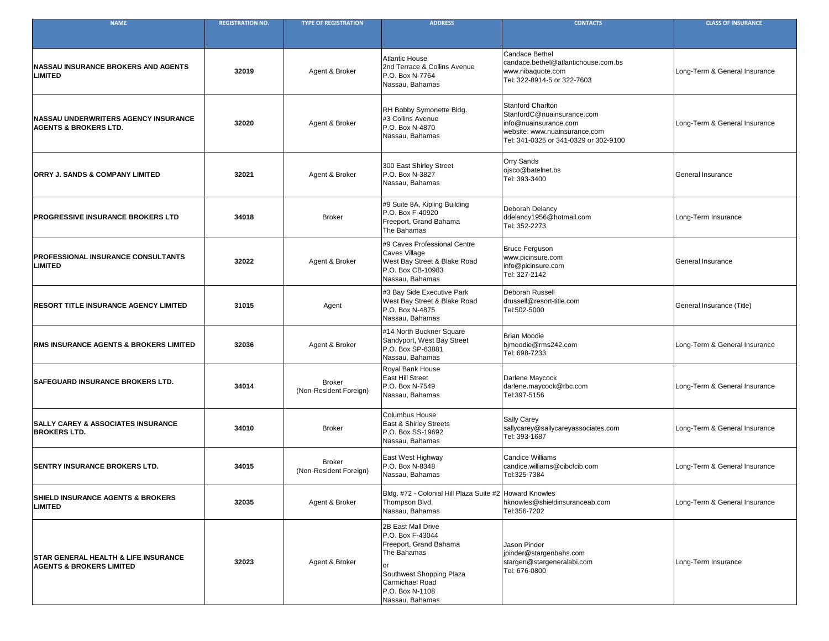| <b>NAME</b>                                                                            | <b>REGISTRATION NO.</b> | <b>TYPE OF REGISTRATION</b>             | <b>ADDRESS</b>                                                                                                                                                                            | <b>CONTACTS</b>                                                                                                                                           | <b>CLASS OF INSURANCE</b>     |
|----------------------------------------------------------------------------------------|-------------------------|-----------------------------------------|-------------------------------------------------------------------------------------------------------------------------------------------------------------------------------------------|-----------------------------------------------------------------------------------------------------------------------------------------------------------|-------------------------------|
|                                                                                        |                         |                                         |                                                                                                                                                                                           |                                                                                                                                                           |                               |
| <b>INASSAU INSURANCE BROKERS AND AGENTS</b><br><b>LIMITED</b>                          | 32019                   | Agent & Broker                          | Atlantic House<br>2nd Terrace & Collins Avenue<br>P.O. Box N-7764<br>Nassau, Bahamas                                                                                                      | <b>Candace Bethel</b><br>candace.bethel@atlantichouse.com.bs<br>www.nibaquote.com<br>Tel: 322-8914-5 or 322-7603                                          | Long-Term & General Insurance |
| <b>NASSAU UNDERWRITERS AGENCY INSURANCE</b><br><b>AGENTS &amp; BROKERS LTD.</b>        | 32020                   | Agent & Broker                          | <b>RH Bobby Symonette Bldg.</b><br>#3 Collins Avenue<br>P.O. Box N-4870<br>Nassau, Bahamas                                                                                                | <b>Stanford Charlton</b><br>StanfordC@nuainsurance.com<br>info@nuainsurance.com<br>website: www.nuainsurance.com<br>Tel: 341-0325 or 341-0329 or 302-9100 | Long-Term & General Insurance |
| <b>ORRY J. SANDS &amp; COMPANY LIMITED</b>                                             | 32021                   | Agent & Broker                          | 300 East Shirley Street<br>P.O. Box N-3827<br>Nassau, Bahamas                                                                                                                             | <b>Orry Sands</b><br>ojsco@batelnet.bs<br>Tel: 393-3400                                                                                                   | <b>General Insurance</b>      |
| <b>PROGRESSIVE INSURANCE BROKERS LTD</b>                                               | 34018                   | <b>Broker</b>                           | #9 Suite 8A, Kipling Building<br>P.O. Box F-40920<br>Freeport, Grand Bahama<br>The Bahamas                                                                                                | Deborah Delancy<br>ddelancy1956@hotmail.com<br>Tel: 352-2273                                                                                              | Long-Term Insurance           |
| <b>PROFESSIONAL INSURANCE CONSULTANTS</b><br><b>LIMITED</b>                            | 32022                   | Agent & Broker                          | #9 Caves Professional Centre<br>Caves Village<br>West Bay Street & Blake Road<br>P.O. Box CB-10983<br>Nassau, Bahamas                                                                     | Bruce Ferguson<br>www.picinsure.com<br>info@picinsure.com<br>Tel: 327-2142                                                                                | <b>General Insurance</b>      |
| <b>RESORT TITLE INSURANCE AGENCY LIMITED</b>                                           | 31015                   | Agent                                   | #3 Bay Side Executive Park<br>West Bay Street & Blake Road<br>P.O. Box N-4875<br>Nassau, Bahamas                                                                                          | <b>Deborah Russell</b><br>drussell@resort-title.com<br>Tel:502-5000                                                                                       | General Insurance (Title)     |
| <b>RMS INSURANCE AGENTS &amp; BROKERS LIMITED</b>                                      | 32036                   | Agent & Broker                          | #14 North Buckner Square<br>Sandyport, West Bay Street<br>P.O. Box SP-63881<br>Nassau, Bahamas                                                                                            | <b>Brian Moodie</b><br>bjmoodie@rms242.com<br>Tel: 698-7233                                                                                               | Long-Term & General Insurance |
| <b>SAFEGUARD INSURANCE BROKERS LTD.</b>                                                | 34014                   | <b>Broker</b><br>(Non-Resident Foreign) | <b>Royal Bank House</b><br><b>East Hill Street</b><br>P.O. Box N-7549<br>Nassau, Bahamas                                                                                                  | Darlene Maycock<br>darlene.maycock@rbc.com<br>Tel:397-5156                                                                                                | Long-Term & General Insurance |
| <b>SALLY CAREY &amp; ASSOCIATES INSURANCE</b><br><b>BROKERS LTD.</b>                   | 34010                   | <b>Broker</b>                           | <b>Columbus House</b><br><b>East &amp; Shirley Streets</b><br>P.O. Box SS-19692<br>Nassau, Bahamas                                                                                        | <b>Sally Carey</b><br>sallycarey@sallycareyassociates.com<br>Tel: 393-1687                                                                                | Long-Term & General Insurance |
| <b>SENTRY INSURANCE BROKERS LTD.</b>                                                   | 34015                   | <b>Broker</b><br>(Non-Resident Foreign) | <b>East West Highway</b><br>P.O. Box N-8348<br>Nassau, Bahamas                                                                                                                            | <b>Candice Williams</b><br>candice.williams@cibcfcib.com<br>Tel:325-7384                                                                                  | Long-Term & General Insurance |
| <b>SHIELD INSURANCE AGENTS &amp; BROKERS</b><br><b>LIMITED</b>                         | 32035                   | Agent & Broker                          | Bldg. #72 - Colonial Hill Plaza Suite #2   Howard Knowles<br>Thompson Blvd.<br>Nassau, Bahamas                                                                                            | hknowles@shieldinsuranceab.com<br>Tel:356-7202                                                                                                            | Long-Term & General Insurance |
| <b>STAR GENERAL HEALTH &amp; LIFE INSURANCE</b><br><b>AGENTS &amp; BROKERS LIMITED</b> | 32023                   | Agent & Broker                          | <b>2B East Mall Drive</b><br>P.O. Box F-43044<br><b>Freeport, Grand Bahama</b><br>The Bahamas<br>lor<br>Southwest Shopping Plaza<br>Carmichael Road<br>P.O. Box N-1108<br>Nassau, Bahamas | <b>Jason Pinder</b><br>jpinder@stargenbahs.com<br>stargen@stargeneralabi.com<br>Tel: 676-0800                                                             | Long-Term Insurance           |